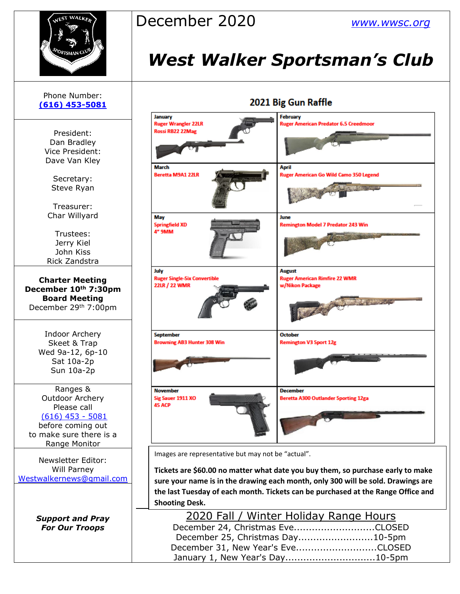

## December 2020 *[www.wwsc.org](http://www.wwsc.org/)*

# *West Walker Sportsman's Club*

| Phone Number:<br>$(616)$ 453-5081                                                                                                        | 2021 Big Gur                                                                                                                                                                                                        |                                             |
|------------------------------------------------------------------------------------------------------------------------------------------|---------------------------------------------------------------------------------------------------------------------------------------------------------------------------------------------------------------------|---------------------------------------------|
| President:                                                                                                                               | January<br><b>Ruger Wrangler 22LR</b><br>Rossi RB22 22Mag                                                                                                                                                           | February<br><b>Ruger Am</b>                 |
| Dan Bradley<br>Vice President:<br>Dave Van Kley                                                                                          |                                                                                                                                                                                                                     |                                             |
| Secretary:<br>Steve Ryan<br>Treasurer:                                                                                                   | <b>March</b><br><b>Beretta M9A1 22LR</b>                                                                                                                                                                            | April<br><b>Ruger Am</b>                    |
| Char Willyard<br>Trustees:<br>Jerry Kiel<br>John Kiss<br>Rick Zandstra                                                                   | May<br><b>Springfield XD</b><br>4" 9MM                                                                                                                                                                              | June<br>Remingto                            |
| <b>Charter Meeting</b><br>December 10th 7:30pm<br><b>Board Meeting</b><br>December 29th 7:00pm                                           | July<br><b>Ruger Single-Six Convertible</b><br>22LR / 22 WMR                                                                                                                                                        | <b>August</b><br><b>Ruger Am</b><br>w/Nikon |
| <b>Indoor Archery</b><br>Skeet & Trap<br>Wed 9a-12, 6p-10<br>Sat 10a-2p<br>Sun 10a-2p                                                    | <b>September</b><br><b>Browning AB3 Hunter 308 Win</b>                                                                                                                                                              | <b>October</b><br>Remingto                  |
| Ranges &<br><b>Outdoor Archery</b><br>Please call<br>$(616)$ 453 - 5081<br>before coming out<br>to make sure there is a<br>Range Monitor | <b>November</b><br>Sig Sauer 1911 XO<br><b>45 ACP</b>                                                                                                                                                               | <b>Decembe</b><br><b>Beretta A</b>          |
| <b>Newsletter Editor:</b><br>Will Parney<br>Westwalkernews@gmail.com                                                                     | Images are representative but may not be "actua<br>Tickets are \$60.00 no matter what date you<br>sure your name is in the drawing each mon<br>the last Tuesday of each month. Tickets car<br><b>Shooting Desk.</b> |                                             |
| <b>Support and Pray</b><br><b>For Our Troops</b>                                                                                         | <u>2020 Fall / Winter Hol</u><br>December 24, Christmas Eve<br>December 25, Christmas Day.<br>December 31, New Year's Eve.                                                                                          |                                             |

### Gun Raffle

| ngler 22LR<br>22Mag       | <b>Ruger American Predator 6.5 Creedmoor</b>                                                 |
|---------------------------|----------------------------------------------------------------------------------------------|
| <b>A1 22LR</b>            | <b>April</b><br><b>Ruger American Go Wild Camo 350 Legend</b><br><b>Always a company</b>     |
| XD                        | June<br><b>Remington Model 7 Predator 243 Win</b><br><b>COMPANY OF BUILDING</b>              |
| le-Six Convertible<br>WMR | <b>August</b><br><b>Ruger American Rimfire 22 WMR</b><br>w/Nikon Package<br><b>Commenced</b> |
| <b>AB3 Hunter 308 Win</b> | <b>October</b><br><b>Remington V3 Sport 12g</b>                                              |
| 911 XO                    | <b>December</b><br><b>Beretta A300 Outlander Sporting 12ga</b>                               |

Ictual".

you buy them, so purchase early to make month, only 300 will be sold. Drawings are can be purchased at the Range Office and

| 2020 Fall / Winter Holiday Range Hours |  |
|----------------------------------------|--|
| December 24, Christmas EveCLOSED       |  |
| December 25, Christmas Day10-5pm       |  |
| December 31, New Year's EveCLOSED      |  |
| January 1, New Year's Day10-5pm        |  |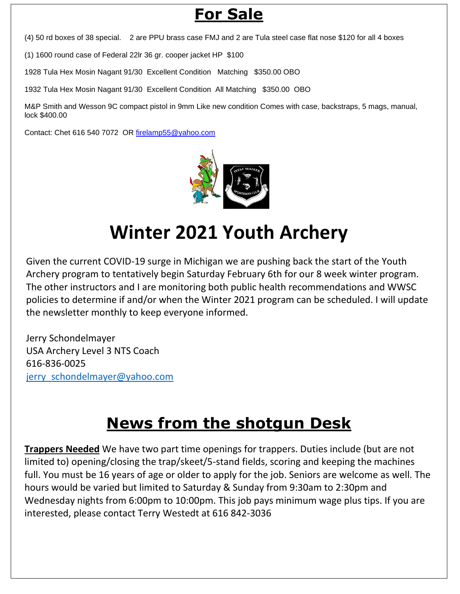## **For Sale**

(4) 50 rd boxes of 38 special. 2 are PPU brass case FMJ and 2 are Tula steel case flat nose \$120 for all 4 boxes

(1) 1600 round case of Federal 22lr 36 gr. cooper jacket HP \$100

1928 Tula Hex Mosin Nagant 91/30 Excellent Condition Matching \$350.00 OBO

1932 Tula Hex Mosin Nagant 91/30 Excellent Condition All Matching \$350.00 OBO

M&P Smith and Wesson 9C compact pistol in 9mm Like new condition Comes with case, backstraps, 5 mags, manual, lock \$400.00

Contact: Chet 616 540 7072 OR [firelamp55@yahoo.com](mailto:firelamp55@yahoo.com)



# **Winter 2021 Youth Archery**

Given the current COVID-19 surge in Michigan we are pushing back the start of the Youth Archery program to tentatively begin Saturday February 6th for our 8 week winter program. The other instructors and I are monitoring both public health recommendations and WWSC policies to determine if and/or when the Winter 2021 program can be scheduled. I will update the newsletter monthly to keep everyone informed.

Jerry Schondelmayer USA Archery Level 3 NTS Coach 616-836-0025 jerry\_schondelmayer@yahoo.com

## **News from the shotgun Desk**

**Trappers Needed** We have two part time openings for trappers. Duties include (but are not limited to) opening/closing the trap/skeet/5-stand fields, scoring and keeping the machines full. You must be 16 years of age or older to apply for the job. Seniors are welcome as well. The hours would be varied but limited to Saturday & Sunday from 9:30am to 2:30pm and Wednesday nights from 6:00pm to 10:00pm. This job pays minimum wage plus tips. If you are interested, please contact Terry Westedt at 616 842-3036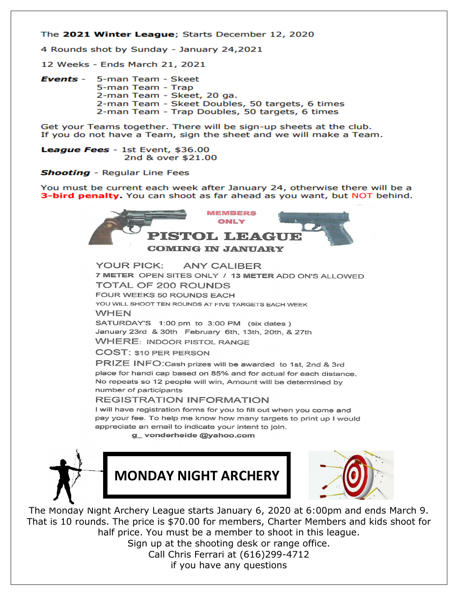#### The 2021 Winter League; Starts December 12, 2020

4 Rounds shot by Sunday - January 24,2021

12 Weeks - Ends March 21, 2021

Events -5-man Team - Skeet 5-man Team - Trap 2-man Team - Skeet, 20 ga. 2-man Team - Skeet Doubles, 50 targets, 6 times 2-man Team - Trap Doubles, 50 targets, 6 times

Get your Teams together. There will be sign-up sheets at the club. If you do not have a Team, sign the sheet and we will make a Team.

League Fees - 1st Event, \$36.00 2nd & over \$21.00

**Shooting** - Regular Line Fees

You must be current each week after January 24, otherwise there will be a 3-bird penalty. You can shoot as far ahead as you want, but NOT behind.



**YOUR PICK: ANY CALIBER** 7 METER OPEN SITES ONLY / 13 METER ADD ON'S ALLOWED **TOTAL OF 200 ROUNDS** FOUR WEEKS 50 ROUNDS FACH YOU WILL SHOOT TEN ROUNDS AT FIVE TARGETS EACH WEEK **WHEN** SATURDAY'S 1:00 pm to 3:00 PM (six dates) January 23rd & 30th February 6th, 13th, 20th, & 27th **WHERE: INDOOR PISTOL RANGE COST: \$10 PER PERSON** 

PRIZE INFO: Cash prizes will be awarded to 1st, 2nd & 3rd place for handi cap based on 85% and for actual for each distance. No repeats so 12 people will win, Amount will be determined by number of participants

#### **REGISTRATION INFORMATION**

I will have registration forms for you to fill out when you come and pay your fee. To help me know how many targets to print up I would appreciate an email to indicate your intent to join.

g\_vonderheide@yahoo.com







The Monday Night Archery League starts January 6, 2020 at 6:00pm and ends March 9. That is 10 rounds. The price is \$70.00 for members, Charter Members and kids shoot for half price. You must be a member to shoot in this league.

Sign up at the shooting desk or range office. Call Chris Ferrari at (616)299-4712 if you have any questions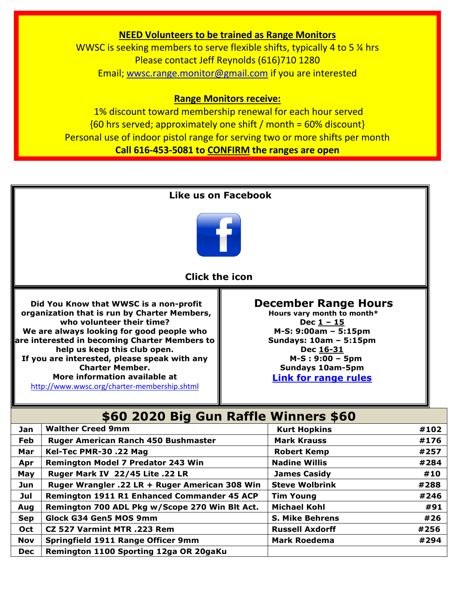### **NEED Volunteers to be trained as Range Monitors**

WWSC is seeking members to serve flexible shifts, typically 4 to 5 % hrs Please contact Jeff Reynolds (616)710 1280 Email; [wwsc.range.monitor@gmail.com](mailto:wwsc.range.monitor@gmail.com) if you are interested

#### **Range Monitors receive:**

1% discount toward membership renewal for each hour served  ${60 \text{ hrs}$  served; approximately one shift / month = 60% discount} Personal use of indoor pistol range for serving two or more shifts per month **Call 616-453-5081 to CONFIRM the ranges are open**



**Sep Glock G34 Gen5 MOS 9mm S. Mike Behrens #26 Oct CZ 527 Varmint MTR .223 Rem Russell Axdorff EXEC 1256 Nov** Springfield 1911 Range Officer 9mm Mark Roedema #294

**Dec Remington 1100 Sporting 12ga OR 20gaKu**